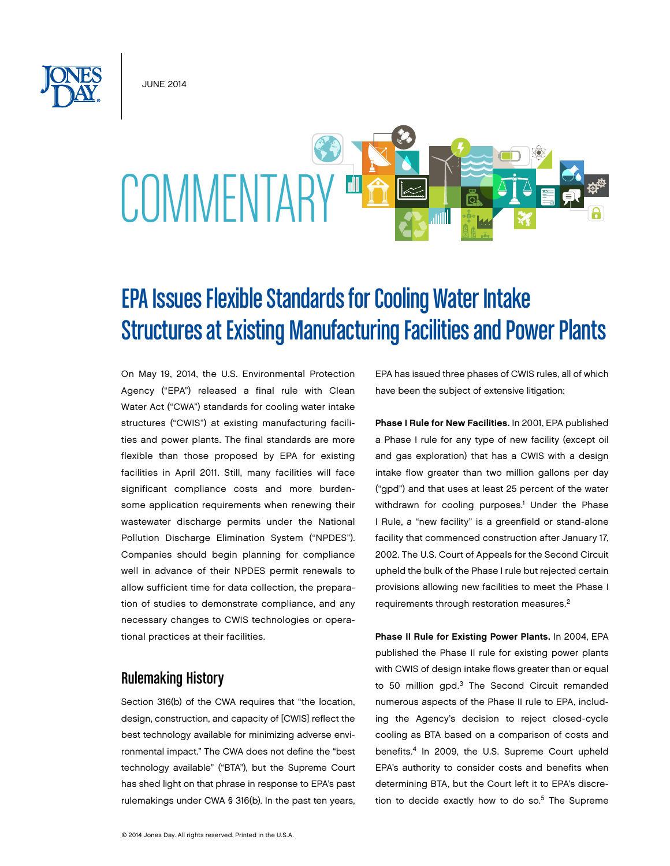June 2014



# EPA Issues Flexible Standards for Cooling Water Intake Structures at Existing Manufacturing Facilities and Power Plants

On May 19, 2014, the U.S. Environmental Protection Agency ("EPA") released a final rule with Clean Water Act ("CWA") standards for cooling water intake structures ("CWIS") at existing manufacturing facilities and power plants. The final standards are more flexible than those proposed by EPA for existing facilities in April 2011. Still, many facilities will face significant compliance costs and more burdensome application requirements when renewing their wastewater discharge permits under the National Pollution Discharge Elimination System ("NPDES"). Companies should begin planning for compliance well in advance of their NPDES permit renewals to allow sufficient time for data collection, the preparation of studies to demonstrate compliance, and any necessary changes to CWIS technologies or operational practices at their facilities.

## Rulemaking History

Section 316(b) of the CWA requires that "the location, design, construction, and capacity of [CWIS] reflect the best technology available for minimizing adverse environmental impact." The CWA does not define the "best technology available" ("BTA"), but the Supreme Court has shed light on that phrase in response to EPA's past rulemakings under CWA § 316(b). In the past ten years, EPA has issued three phases of CWIS rules, all of which have been the subject of extensive litigation:

Phase I Rule for New Facilities. In 2001, EPA published a Phase I rule for any type of new facility (except oil and gas exploration) that has a CWIS with a design intake flow greater than two million gallons per day ("gpd") and that uses at least 25 percent of the water withdrawn for cooling purposes.<sup>1</sup> Under the Phase I Rule, a "new facility" is a greenfield or stand-alone facility that commenced construction after January 17, 2002. The U.S. Court of Appeals for the Second Circuit upheld the bulk of the Phase I rule but rejected certain provisions allowing new facilities to meet the Phase I requirements through restoration measures.2

Phase II Rule for Existing Power Plants. In 2004, EPA published the Phase II rule for existing power plants with CWIS of design intake flows greater than or equal to 50 million gpd.<sup>3</sup> The Second Circuit remanded numerous aspects of the Phase II rule to EPA, including the Agency's decision to reject closed-cycle cooling as BTA based on a comparison of costs and benefits.4 In 2009, the U.S. Supreme Court upheld EPA's authority to consider costs and benefits when determining BTA, but the Court left it to EPA's discretion to decide exactly how to do so.<sup>5</sup> The Supreme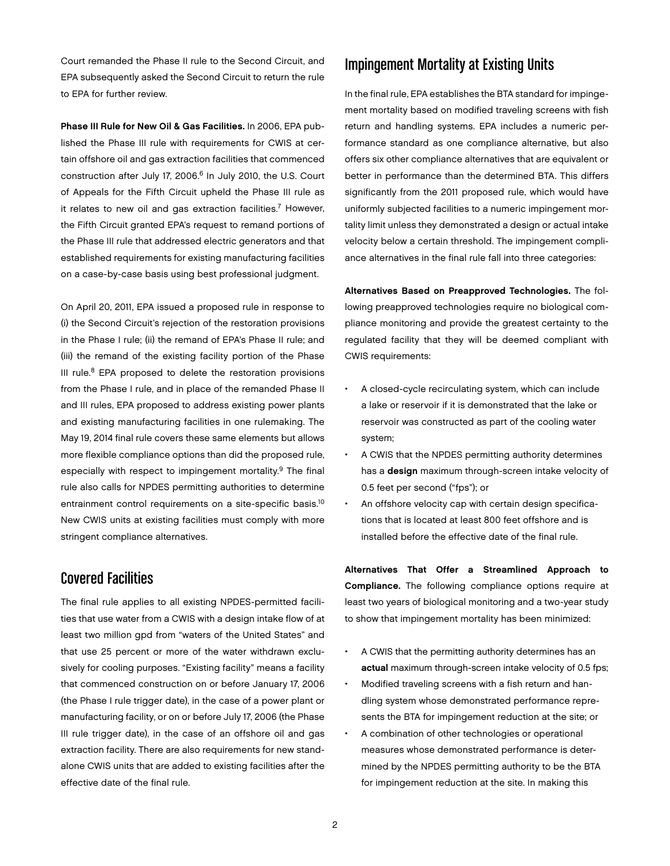Court remanded the Phase II rule to the Second Circuit, and EPA subsequently asked the Second Circuit to return the rule to EPA for further review.

Phase III Rule for New Oil & Gas Facilities. In 2006, EPA published the Phase III rule with requirements for CWIS at certain offshore oil and gas extraction facilities that commenced construction after July 17, 2006.<sup>6</sup> In July 2010, the U.S. Court of Appeals for the Fifth Circuit upheld the Phase III rule as it relates to new oil and gas extraction facilities.<sup>7</sup> However, the Fifth Circuit granted EPA's request to remand portions of the Phase III rule that addressed electric generators and that established requirements for existing manufacturing facilities on a case-by-case basis using best professional judgment.

On April 20, 2011, EPA issued a proposed rule in response to (i) the Second Circuit's rejection of the restoration provisions in the Phase I rule; (ii) the remand of EPA's Phase II rule; and (iii) the remand of the existing facility portion of the Phase III rule. $8$  EPA proposed to delete the restoration provisions from the Phase I rule, and in place of the remanded Phase II and III rules, EPA proposed to address existing power plants and existing manufacturing facilities in one rulemaking. The May 19, 2014 final rule covers these same elements but allows more flexible compliance options than did the proposed rule, especially with respect to impingement mortality.<sup>9</sup> The final rule also calls for NPDES permitting authorities to determine entrainment control requirements on a site-specific basis.<sup>10</sup> New CWIS units at existing facilities must comply with more stringent compliance alternatives.

#### Covered Facilities

The final rule applies to all existing NPDES-permitted facilities that use water from a CWIS with a design intake flow of at least two million gpd from "waters of the United States" and that use 25 percent or more of the water withdrawn exclusively for cooling purposes. "Existing facility" means a facility that commenced construction on or before January 17, 2006 (the Phase I rule trigger date), in the case of a power plant or manufacturing facility, or on or before July 17, 2006 (the Phase III rule trigger date), in the case of an offshore oil and gas extraction facility. There are also requirements for new standalone CWIS units that are added to existing facilities after the effective date of the final rule.

## Impingement Mortality at Existing Units

In the final rule, EPA establishes the BTA standard for impingement mortality based on modified traveling screens with fish return and handling systems. EPA includes a numeric performance standard as one compliance alternative, but also offers six other compliance alternatives that are equivalent or better in performance than the determined BTA. This differs significantly from the 2011 proposed rule, which would have uniformly subjected facilities to a numeric impingement mortality limit unless they demonstrated a design or actual intake velocity below a certain threshold. The impingement compliance alternatives in the final rule fall into three categories:

Alternatives Based on Preapproved Technologies. The following preapproved technologies require no biological compliance monitoring and provide the greatest certainty to the regulated facility that they will be deemed compliant with CWIS requirements:

- A closed-cycle recirculating system, which can include a lake or reservoir if it is demonstrated that the lake or reservoir was constructed as part of the cooling water system;
- A CWIS that the NPDES permitting authority determines has a **design** maximum through-screen intake velocity of 0.5 feet per second ("fps"); or
- An offshore velocity cap with certain design specifications that is located at least 800 feet offshore and is installed before the effective date of the final rule.

Alternatives That Offer a Streamlined Approach to Compliance. The following compliance options require at least two years of biological monitoring and a two-year study to show that impingement mortality has been minimized:

- A CWIS that the permitting authority determines has an actual maximum through-screen intake velocity of 0.5 fps;
- • Modified traveling screens with a fish return and handling system whose demonstrated performance represents the BTA for impingement reduction at the site; or
- A combination of other technologies or operational measures whose demonstrated performance is determined by the NPDES permitting authority to be the BTA for impingement reduction at the site. In making this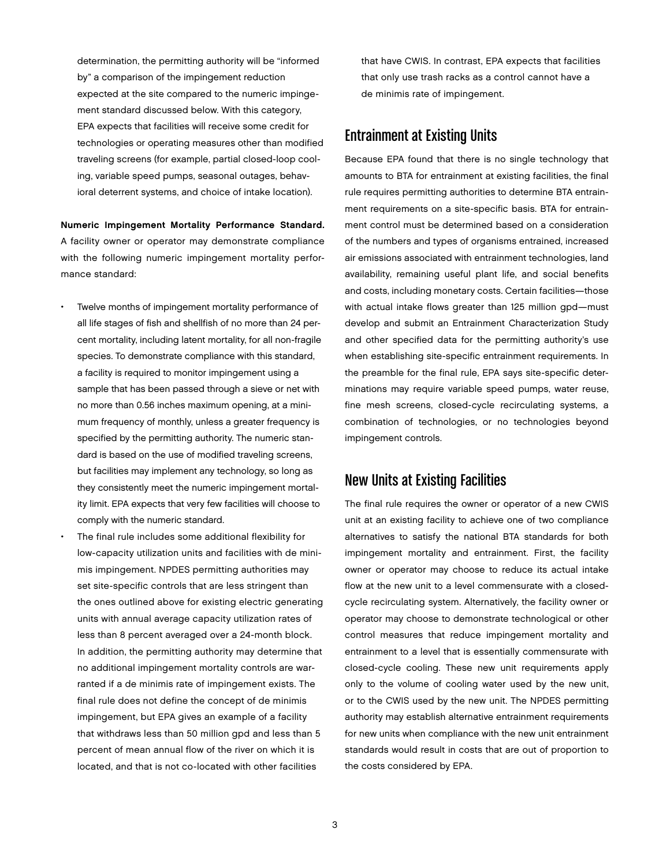determination, the permitting authority will be "informed by" a comparison of the impingement reduction expected at the site compared to the numeric impingement standard discussed below. With this category, EPA expects that facilities will receive some credit for technologies or operating measures other than modified traveling screens (for example, partial closed-loop cooling, variable speed pumps, seasonal outages, behavioral deterrent systems, and choice of intake location).

Numeric Impingement Mortality Performance Standard. A facility owner or operator may demonstrate compliance with the following numeric impingement mortality performance standard:

- Twelve months of impingement mortality performance of all life stages of fish and shellfish of no more than 24 percent mortality, including latent mortality, for all non-fragile species. To demonstrate compliance with this standard, a facility is required to monitor impingement using a sample that has been passed through a sieve or net with no more than 0.56 inches maximum opening, at a minimum frequency of monthly, unless a greater frequency is specified by the permitting authority. The numeric standard is based on the use of modified traveling screens, but facilities may implement any technology, so long as they consistently meet the numeric impingement mortality limit. EPA expects that very few facilities will choose to comply with the numeric standard.
- The final rule includes some additional flexibility for low-capacity utilization units and facilities with de minimis impingement. NPDES permitting authorities may set site-specific controls that are less stringent than the ones outlined above for existing electric generating units with annual average capacity utilization rates of less than 8 percent averaged over a 24-month block. In addition, the permitting authority may determine that no additional impingement mortality controls are warranted if a de minimis rate of impingement exists. The final rule does not define the concept of de minimis impingement, but EPA gives an example of a facility that withdraws less than 50 million gpd and less than 5 percent of mean annual flow of the river on which it is located, and that is not co-located with other facilities

that have CWIS. In contrast, EPA expects that facilities that only use trash racks as a control cannot have a de minimis rate of impingement.

#### Entrainment at Existing Units

Because EPA found that there is no single technology that amounts to BTA for entrainment at existing facilities, the final rule requires permitting authorities to determine BTA entrainment requirements on a site-specific basis. BTA for entrainment control must be determined based on a consideration of the numbers and types of organisms entrained, increased air emissions associated with entrainment technologies, land availability, remaining useful plant life, and social benefits and costs, including monetary costs. Certain facilities—those with actual intake flows greater than 125 million gpd—must develop and submit an Entrainment Characterization Study and other specified data for the permitting authority's use when establishing site-specific entrainment requirements. In the preamble for the final rule, EPA says site-specific determinations may require variable speed pumps, water reuse, fine mesh screens, closed-cycle recirculating systems, a combination of technologies, or no technologies beyond impingement controls.

#### New Units at Existing Facilities

The final rule requires the owner or operator of a new CWIS unit at an existing facility to achieve one of two compliance alternatives to satisfy the national BTA standards for both impingement mortality and entrainment. First, the facility owner or operator may choose to reduce its actual intake flow at the new unit to a level commensurate with a closedcycle recirculating system. Alternatively, the facility owner or operator may choose to demonstrate technological or other control measures that reduce impingement mortality and entrainment to a level that is essentially commensurate with closed-cycle cooling. These new unit requirements apply only to the volume of cooling water used by the new unit, or to the CWIS used by the new unit. The NPDES permitting authority may establish alternative entrainment requirements for new units when compliance with the new unit entrainment standards would result in costs that are out of proportion to the costs considered by EPA.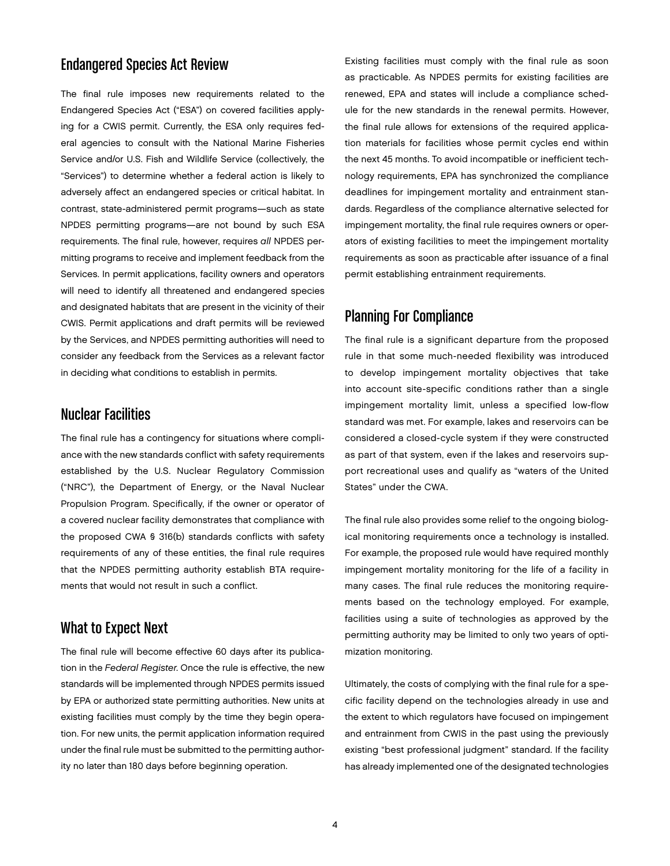## Endangered Species Act Review

The final rule imposes new requirements related to the Endangered Species Act ("ESA") on covered facilities applying for a CWIS permit. Currently, the ESA only requires federal agencies to consult with the National Marine Fisheries Service and/or U.S. Fish and Wildlife Service (collectively, the "Services") to determine whether a federal action is likely to adversely affect an endangered species or critical habitat. In contrast, state-administered permit programs—such as state NPDES permitting programs—are not bound by such ESA requirements. The final rule, however, requires *all* NPDES permitting programs to receive and implement feedback from the Services. In permit applications, facility owners and operators will need to identify all threatened and endangered species and designated habitats that are present in the vicinity of their CWIS. Permit applications and draft permits will be reviewed by the Services, and NPDES permitting authorities will need to consider any feedback from the Services as a relevant factor in deciding what conditions to establish in permits.

#### Nuclear Facilities

The final rule has a contingency for situations where compliance with the new standards conflict with safety requirements established by the U.S. Nuclear Regulatory Commission ("NRC"), the Department of Energy, or the Naval Nuclear Propulsion Program. Specifically, if the owner or operator of a covered nuclear facility demonstrates that compliance with the proposed CWA § 316(b) standards conflicts with safety requirements of any of these entities, the final rule requires that the NPDES permitting authority establish BTA requirements that would not result in such a conflict.

### What to Expect Next

The final rule will become effective 60 days after its publication in the *Federal Register*. Once the rule is effective, the new standards will be implemented through NPDES permits issued by EPA or authorized state permitting authorities. New units at existing facilities must comply by the time they begin operation. For new units, the permit application information required under the final rule must be submitted to the permitting authority no later than 180 days before beginning operation.

Existing facilities must comply with the final rule as soon as practicable. As NPDES permits for existing facilities are renewed, EPA and states will include a compliance schedule for the new standards in the renewal permits. However, the final rule allows for extensions of the required application materials for facilities whose permit cycles end within the next 45 months. To avoid incompatible or inefficient technology requirements, EPA has synchronized the compliance deadlines for impingement mortality and entrainment standards. Regardless of the compliance alternative selected for impingement mortality, the final rule requires owners or operators of existing facilities to meet the impingement mortality requirements as soon as practicable after issuance of a final permit establishing entrainment requirements.

#### Planning For Compliance

The final rule is a significant departure from the proposed rule in that some much-needed flexibility was introduced to develop impingement mortality objectives that take into account site-specific conditions rather than a single impingement mortality limit, unless a specified low-flow standard was met. For example, lakes and reservoirs can be considered a closed-cycle system if they were constructed as part of that system, even if the lakes and reservoirs support recreational uses and qualify as "waters of the United States" under the CWA.

The final rule also provides some relief to the ongoing biological monitoring requirements once a technology is installed. For example, the proposed rule would have required monthly impingement mortality monitoring for the life of a facility in many cases. The final rule reduces the monitoring requirements based on the technology employed. For example, facilities using a suite of technologies as approved by the permitting authority may be limited to only two years of optimization monitoring.

Ultimately, the costs of complying with the final rule for a specific facility depend on the technologies already in use and the extent to which regulators have focused on impingement and entrainment from CWIS in the past using the previously existing "best professional judgment" standard. If the facility has already implemented one of the designated technologies